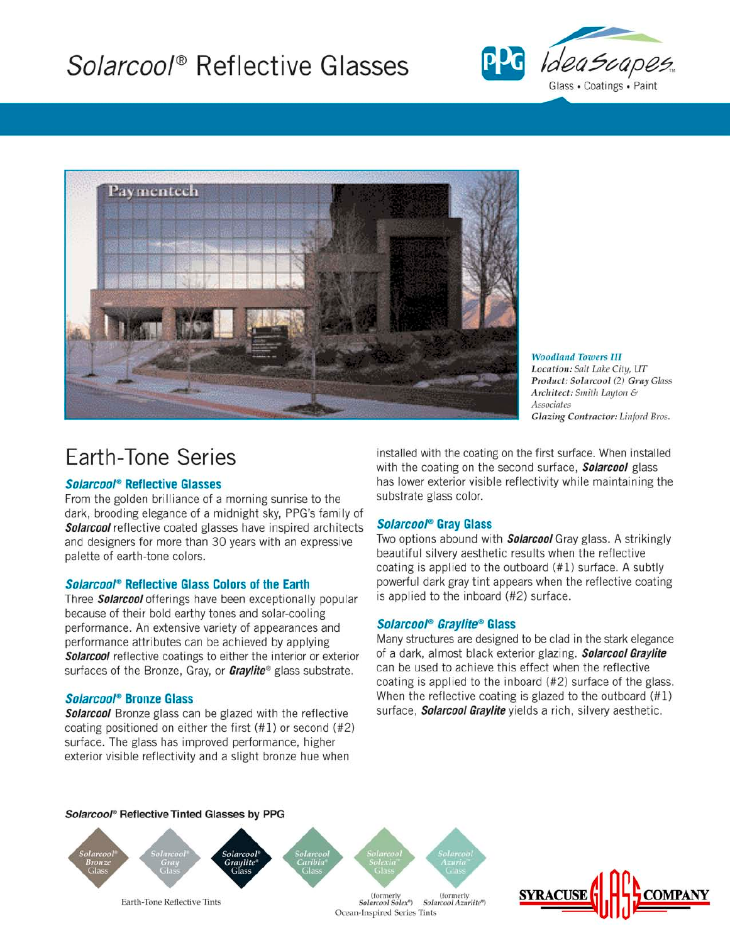# Solarcool® Reflective Glasses





**Woodland Towers III** Location: Salt Lake City, UT Product: Solarcool (2) Gray Glass Architect: Smith Layton & Associates Glazing Contractor: Linford Bros.

# **Earth-Tone Series**

#### Solarcool® Reflective Glasses

From the golden brilliance of a morning sunrise to the dark, brooding elegance of a midnight sky, PPG's family of Solarcool reflective coated glasses have inspired architects and designers for more than 30 years with an expressive palette of earth-tone colors.

#### Solarcool® Reflective Glass Colors of the Earth

Three Solarcool offerings have been exceptionally popular because of their bold earthy tones and solar-cooling performance. An extensive variety of appearances and performance attributes can be achieved by applying Solarcool reflective coatings to either the interior or exterior surfaces of the Bronze, Gray, or Graylite® glass substrate.

# Solarcool® Bronze Glass

**Solarcool** Bronze glass can be glazed with the reflective coating positioned on either the first  $(41)$  or second  $(42)$ surface. The glass has improved performance, higher exterior visible reflectivity and a slight bronze hue when

installed with the coating on the first surface. When installed with the coating on the second surface, **Solarcool** glass has lower exterior visible reflectivity while maintaining the substrate glass color.

# Solarcool<sup>®</sup> Gray Glass

Two options abound with **Solarcool** Gray glass. A strikingly beautiful silvery aesthetic results when the reflective coating is applied to the outboard (#1) surface. A subtly powerful dark gray tint appears when the reflective coating is applied to the inboard (#2) surface.

# Solarcool<sup>®</sup> Graylite® Glass

Many structures are designed to be clad in the stark elegance of a dark, almost black exterior glazing. Solarcool Graylite can be used to achieve this effect when the reflective coating is applied to the inboard (#2) surface of the glass. When the reflective coating is glazed to the outboard  $(#1)$ surface, Solarcool Graylite yields a rich, silvery aesthetic.